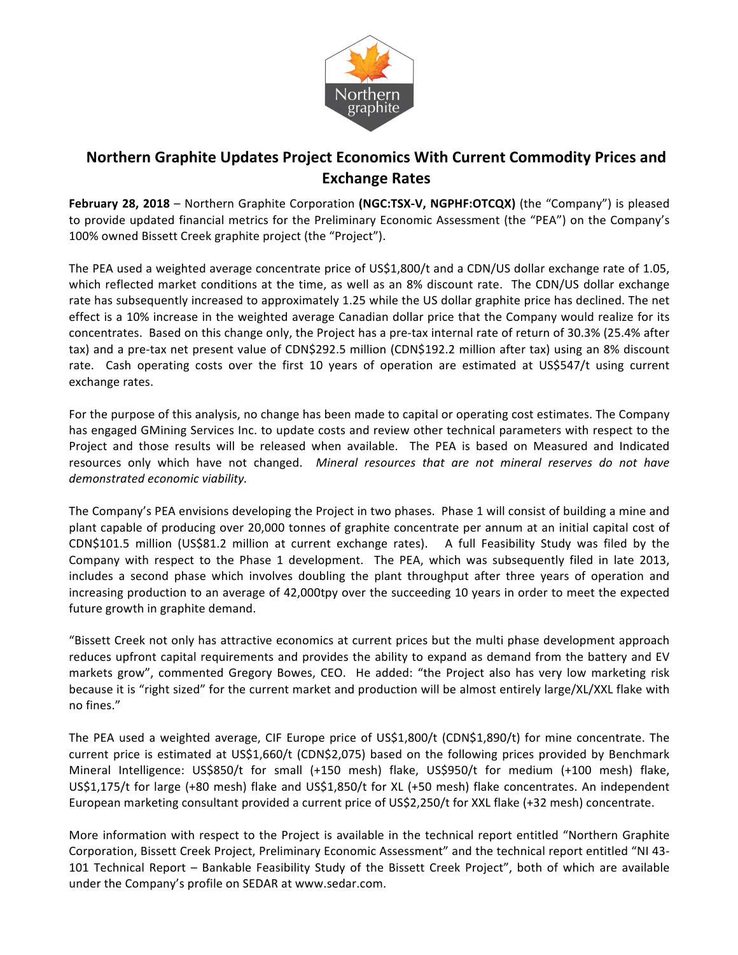

## **Northern Graphite Updates Project Economics With Current Commodity Prices and Exchange Rates**

**February 28, 2018** – Northern Graphite Corporation (NGC:TSX-V, NGPHF:OTCQX) (the "Company") is pleased to provide updated financial metrics for the Preliminary Economic Assessment (the "PEA") on the Company's 100% owned Bissett Creek graphite project (the "Project").

The PEA used a weighted average concentrate price of US\$1,800/t and a CDN/US dollar exchange rate of 1.05, which reflected market conditions at the time, as well as an 8% discount rate. The CDN/US dollar exchange rate has subsequently increased to approximately 1.25 while the US dollar graphite price has declined. The net effect is a 10% increase in the weighted average Canadian dollar price that the Company would realize for its concentrates. Based on this change only, the Project has a pre-tax internal rate of return of 30.3% (25.4% after tax) and a pre-tax net present value of CDN\$292.5 million (CDN\$192.2 million after tax) using an 8% discount rate. Cash operating costs over the first 10 years of operation are estimated at US\$547/t using current exchange rates.

For the purpose of this analysis, no change has been made to capital or operating cost estimates. The Company has engaged GMining Services Inc. to update costs and review other technical parameters with respect to the Project and those results will be released when available. The PEA is based on Measured and Indicated resources only which have not changed. *Mineral resources that are not mineral reserves do not have demonstrated economic viability.*

The Company's PEA envisions developing the Project in two phases. Phase 1 will consist of building a mine and plant capable of producing over 20,000 tonnes of graphite concentrate per annum at an initial capital cost of  $CDN$101.5 million (US$81.2 million at current exchange rates). A full Feasibility Study was filed by the$ Company with respect to the Phase 1 development. The PEA, which was subsequently filed in late 2013, includes a second phase which involves doubling the plant throughput after three years of operation and increasing production to an average of 42,000tpy over the succeeding 10 years in order to meet the expected future growth in graphite demand.

"Bissett Creek not only has attractive economics at current prices but the multi phase development approach reduces upfront capital requirements and provides the ability to expand as demand from the battery and EV markets grow", commented Gregory Bowes, CEO. He added: "the Project also has very low marketing risk because it is "right sized" for the current market and production will be almost entirely large/XL/XXL flake with no fines." 

The PEA used a weighted average, CIF Europe price of US\$1,800/t (CDN\$1,890/t) for mine concentrate. The current price is estimated at US\$1,660/t (CDN\$2,075) based on the following prices provided by Benchmark Mineral Intelligence: US\$850/t for small (+150 mesh) flake, US\$950/t for medium (+100 mesh) flake, US\$1,175/t for large (+80 mesh) flake and US\$1,850/t for XL (+50 mesh) flake concentrates. An independent European marketing consultant provided a current price of US\$2,250/t for XXL flake (+32 mesh) concentrate.

More information with respect to the Project is available in the technical report entitled "Northern Graphite Corporation, Bissett Creek Project, Preliminary Economic Assessment" and the technical report entitled "NI 43-101 Technical Report - Bankable Feasibility Study of the Bissett Creek Project", both of which are available under the Company's profile on SEDAR at www.sedar.com.